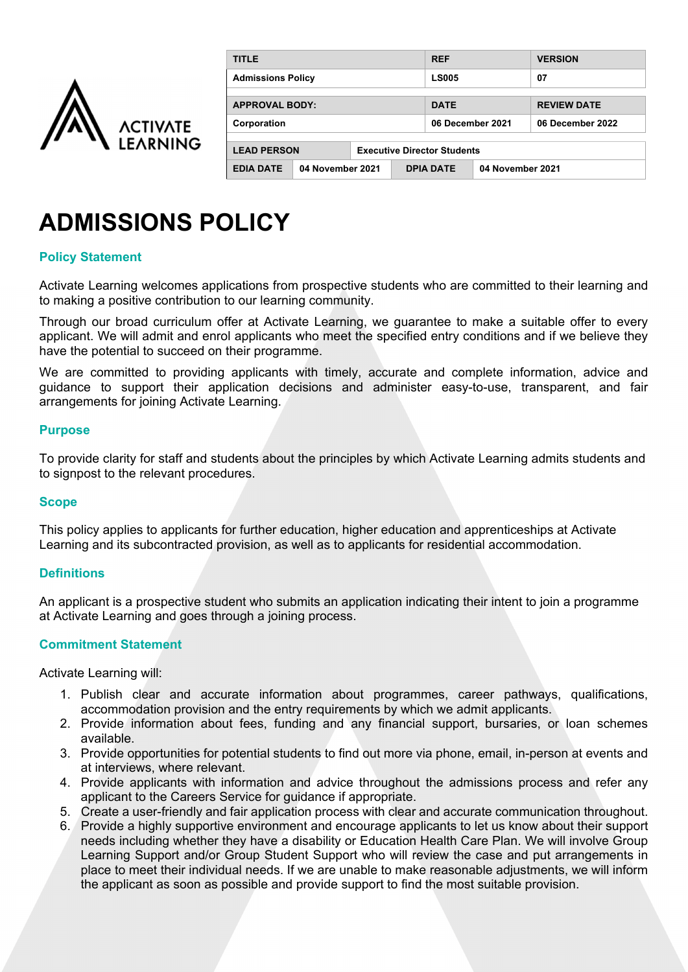

| <b>TITLE</b>                                             |                                      | <b>REF</b>       |                  | <b>VERSION</b>     |
|----------------------------------------------------------|--------------------------------------|------------------|------------------|--------------------|
| <b>Admissions Policy</b>                                 |                                      | <b>LS005</b>     |                  | 07                 |
|                                                          |                                      |                  |                  |                    |
| <b>APPROVAL BODY:</b>                                    |                                      | <b>DATE</b>      |                  | <b>REVIEW DATE</b> |
| Corporation                                              |                                      | 06 December 2021 |                  | 06 December 2022   |
|                                                          |                                      |                  |                  |                    |
| <b>LEAD PERSON</b><br><b>Executive Director Students</b> |                                      |                  |                  |                    |
| <b>EDIA DATE</b>                                         | <b>DPIA DATE</b><br>04 November 2021 |                  | 04 November 2021 |                    |

# **ADMISSIONS POLICY**

## **Policy Statement**

Activate Learning welcomes applications from prospective students who are committed to their learning and to making a positive contribution to our learning community.

Through our broad curriculum offer at Activate Learning, we guarantee to make a suitable offer to every applicant. We will admit and enrol applicants who meet the specified entry conditions and if we believe they have the potential to succeed on their programme.

We are committed to providing applicants with timely, accurate and complete information, advice and guidance to support their application decisions and administer easy-to-use, transparent, and fair arrangements for joining Activate Learning.

#### **Purpose**

To provide clarity for staff and students about the principles by which Activate Learning admits students and to signpost to the relevant procedures.

#### **Scope**

This policy applies to applicants for further education, higher education and apprenticeships at Activate Learning and its subcontracted provision, as well as to applicants for residential accommodation.

#### **Definitions**

An applicant is a prospective student who submits an application indicating their intent to join a programme at Activate Learning and goes through a joining process.

#### **Commitment Statement**

Activate Learning will:

- 1. Publish clear and accurate information about programmes, career pathways, qualifications, accommodation provision and the entry requirements by which we admit applicants.
- 2. Provide information about fees, funding and any financial support, bursaries, or loan schemes available.
- 3. Provide opportunities for potential students to find out more via phone, email, in-person at events and at interviews, where relevant.
- 4. Provide applicants with information and advice throughout the admissions process and refer any applicant to the Careers Service for guidance if appropriate.
- 5. Create a user-friendly and fair application process with clear and accurate communication throughout.
- 6. Provide a highly supportive environment and encourage applicants to let us know about their support needs including whether they have a disability or Education Health Care Plan. We will involve Group Learning Support and/or Group Student Support who will review the case and put arrangements in place to meet their individual needs. If we are unable to make reasonable adjustments, we will inform the applicant as soon as possible and provide support to find the most suitable provision.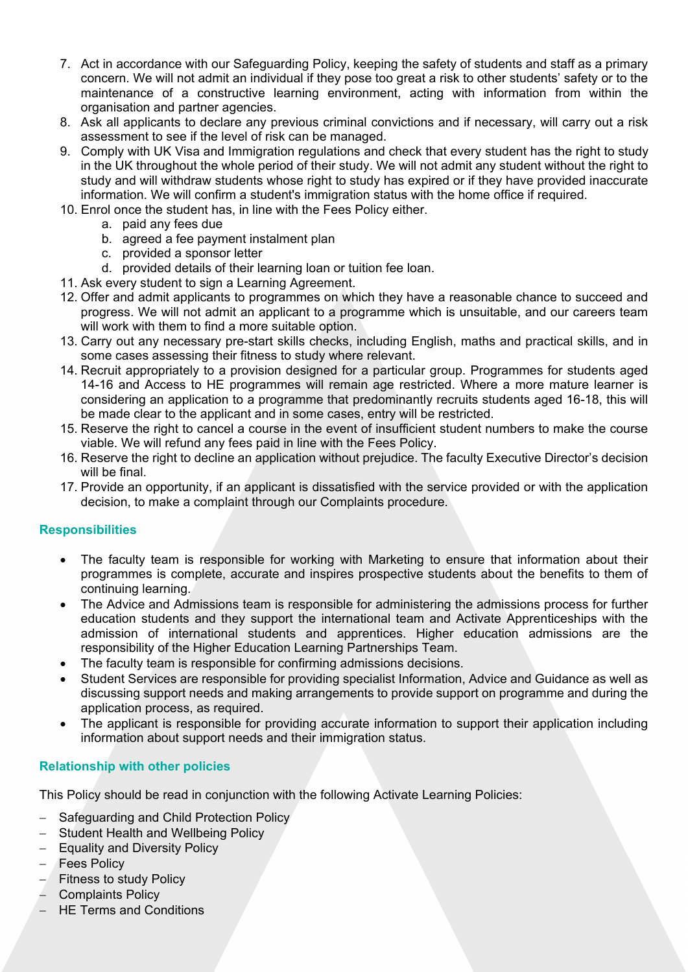- 7. Act in accordance with our Safeguarding Policy, keeping the safety of students and staff as a primary concern. We will not admit an individual if they pose too great a risk to other students' safety or to the maintenance of a constructive learning environment, acting with information from within the organisation and partner agencies.
- 8. Ask all applicants to declare any previous criminal convictions and if necessary, will carry out a risk assessment to see if the level of risk can be managed.
- 9. Comply with UK Visa and Immigration regulations and check that every student has the right to study in the UK throughout the whole period of their study. We will not admit any student without the right to study and will withdraw students whose right to study has expired or if they have provided inaccurate information. We will confirm a student's immigration status with the home office if required.
- 10. Enrol once the student has, in line with the Fees Policy either.
	- a. paid any fees due
	- b. agreed a fee payment instalment plan
	- c. provided a sponsor letter
	- d. provided details of their learning loan or tuition fee loan.
- 11. Ask every student to sign a Learning Agreement.
- 12. Offer and admit applicants to programmes on which they have a reasonable chance to succeed and progress. We will not admit an applicant to a programme which is unsuitable, and our careers team will work with them to find a more suitable option.
- 13. Carry out any necessary pre-start skills checks, including English, maths and practical skills, and in some cases assessing their fitness to study where relevant.
- 14. Recruit appropriately to a provision designed for a particular group. Programmes for students aged 14-16 and Access to HE programmes will remain age restricted. Where a more mature learner is considering an application to a programme that predominantly recruits students aged 16-18, this will be made clear to the applicant and in some cases, entry will be restricted.
- 15. Reserve the right to cancel a course in the event of insufficient student numbers to make the course viable. We will refund any fees paid in line with the Fees Policy.
- 16. Reserve the right to decline an application without prejudice. The faculty Executive Director's decision will be final.
- 17. Provide an opportunity, if an applicant is dissatisfied with the service provided or with the application decision, to make a complaint through our Complaints procedure.

# **Responsibilities**

- The faculty team is responsible for working with Marketing to ensure that information about their programmes is complete, accurate and inspires prospective students about the benefits to them of continuing learning.
- The Advice and Admissions team is responsible for administering the admissions process for further education students and they support the international team and Activate Apprenticeships with the admission of international students and apprentices. Higher education admissions are the responsibility of the Higher Education Learning Partnerships Team.
- The faculty team is responsible for confirming admissions decisions.
- Student Services are responsible for providing specialist Information, Advice and Guidance as well as discussing support needs and making arrangements to provide support on programme and during the application process, as required.
- The applicant is responsible for providing accurate information to support their application including information about support needs and their immigration status.

# **Relationship with other policies**

This Policy should be read in conjunction with the following Activate Learning Policies:

- Safeguarding and Child Protection Policy
- Student Health and Wellbeing Policy
- Equality and Diversity Policy
- Fees Policy
- $-$  Fitness to study Policy
- Complaints Policy
- HE Terms and Conditions